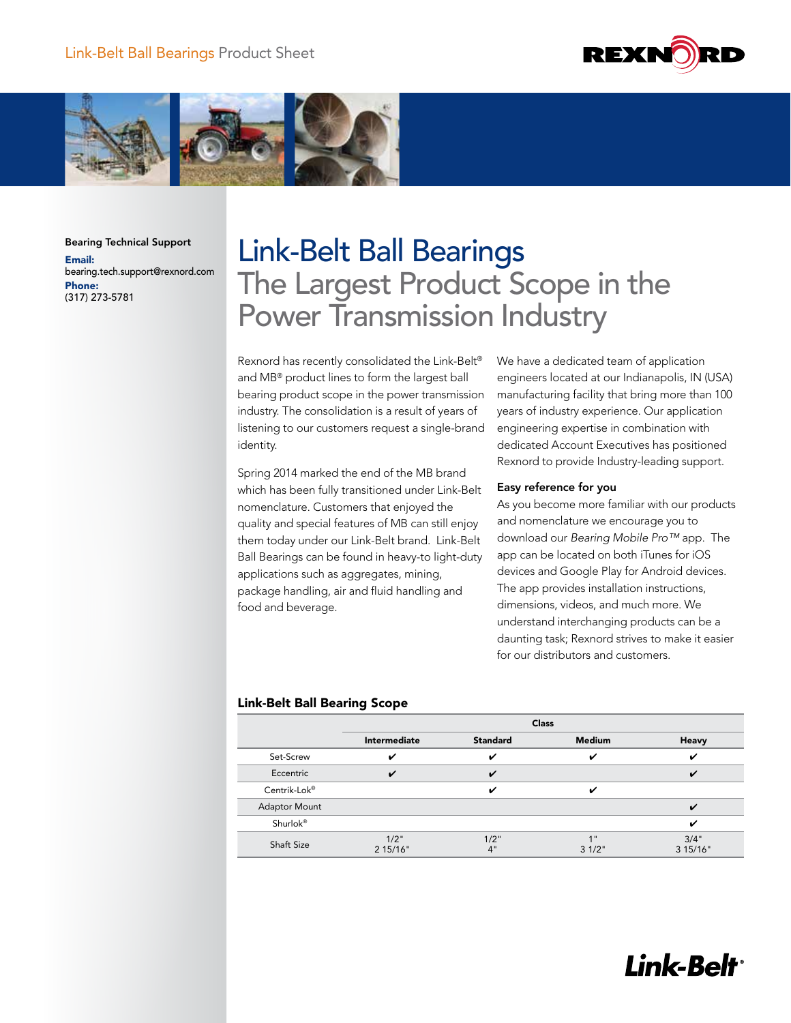



Bearing Technical Support Email: bearing.tech.support@rexnord.com Phone: (317) 273-5781

# Link-Belt Ball Bearings The Largest Product Scope in the Power Transmission Industry

Rexnord has recently consolidated the Link-Belt® and MB® product lines to form the largest ball bearing product scope in the power transmission industry. The consolidation is a result of years of listening to our customers request a single-brand identity.

Spring 2014 marked the end of the MB brand which has been fully transitioned under Link-Belt nomenclature. Customers that enjoyed the quality and special features of MB can still enjoy them today under our Link-Belt brand. Link-Belt Ball Bearings can be found in heavy-to light-duty applications such as aggregates, mining, package handling, air and fluid handling and food and beverage.

We have a dedicated team of application engineers located at our Indianapolis, IN (USA) manufacturing facility that bring more than 100 years of industry experience. Our application engineering expertise in combination with dedicated Account Executives has positioned Rexnord to provide Industry-leading support.

#### Easy reference for you

As you become more familiar with our products and nomenclature we encourage you to download our *Bearing Mobile Pro™* app. The app can be located on both iTunes for iOS devices and Google Play for Android devices. The app provides installation instructions, dimensions, videos, and much more. We understand interchanging products can be a daunting task; Rexnord strives to make it easier for our distributors and customers.

### Link-Belt Ball Bearing Scope

|                      | <b>Class</b>     |                 |               |                  |  |  |  |
|----------------------|------------------|-----------------|---------------|------------------|--|--|--|
|                      | Intermediate     | <b>Standard</b> | <b>Medium</b> | Heavy            |  |  |  |
| Set-Screw            | ✓                | ✓               | ✔             | ✓                |  |  |  |
| Eccentric            | ✓                | ✓               |               | $\epsilon$       |  |  |  |
| Centrik-Lok®         |                  | ✓               | ✓             |                  |  |  |  |
| <b>Adaptor Mount</b> |                  |                 |               | ✓                |  |  |  |
| Shurlok®             |                  |                 |               | ✓                |  |  |  |
| <b>Shaft Size</b>    | 1/2"<br>2 15/16" | 1/2"<br>4"      | 1"<br>31/2"   | 3/4"<br>3 15/16" |  |  |  |

## **Link-Belt**<sup>®</sup>